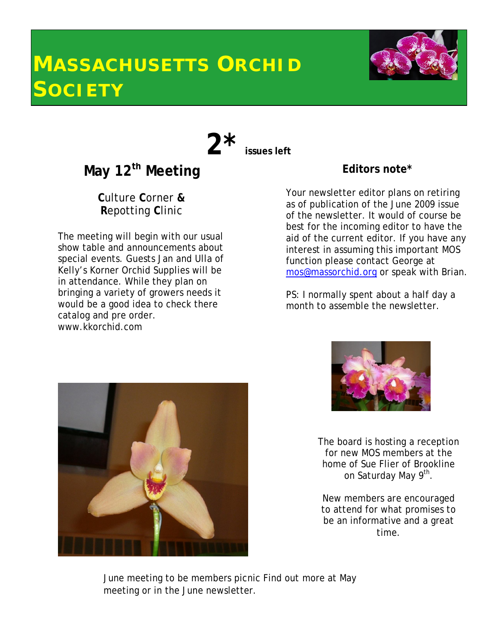# **MASSACHUSETTS ORCHID SOCIETY**



**2\* issues left**



**C**ulture **C**orner **& R**epotting **C**linic

The meeting will begin with our usual show table and announcements about special events. Guests Jan and Ulla of Kelly's Korner Orchid Supplies will be in attendance. While they plan on bringing a variety of growers needs it would be a good idea to check there catalog and pre order. www.kkorchid.com

### **Editors note\***

Your newsletter editor plans on retiring as of publication of the June 2009 issue of the newsletter. It would of course be best for the incoming editor to have the aid of the current editor. If you have any interest in assuming this important MOS function please contact George at mos@massorchid.org or speak with Brian.

PS: I normally spent about a half day a month to assemble the newsletter.





The board is hosting a reception for new MOS members at the home of Sue Flier of Brookline on Saturday May 9<sup>th</sup>.

New members are encouraged to attend for what promises to be an informative and a great time.

June meeting to be members picnic Find out more at May meeting or in the June newsletter.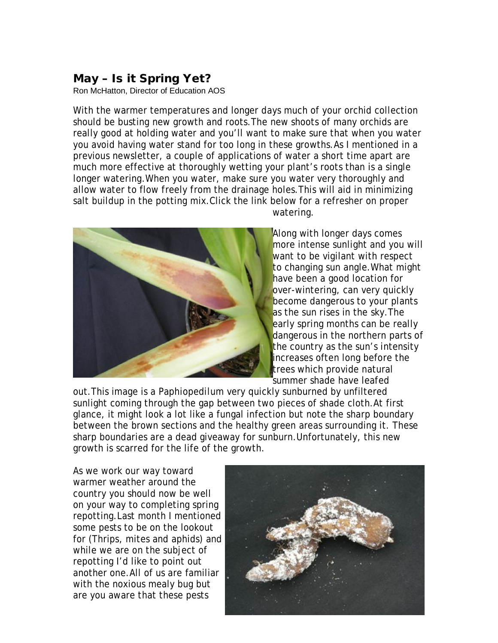### **May – Is it Spring Yet?**

Ron McHatton, Director of Education AOS

With the warmer temperatures and longer days much of your orchid collection should be busting new growth and roots.The new shoots of many orchids are really good at holding water and you'll want to make sure that when you water you avoid having water stand for too long in these growths.As I mentioned in a previous newsletter, a couple of applications of water a short time apart are much more effective at thoroughly wetting your plant's roots than is a single longer watering.When you water, make sure you water very thoroughly and allow water to flow freely from the drainage holes.This will aid in minimizing salt buildup in the potting mix.Click the link below for a refresher on proper watering.



Along with longer days comes more intense sunlight and you will want to be vigilant with respect to changing sun angle.What might have been a good location for over-wintering, can very quickly become dangerous to your plants as the sun rises in the sky. The early spring months can be really dangerous in the northern parts of the country as the sun's intensity increases often long before the trees which provide natural summer shade have leafed

out.This image is a *Paphiopedilum* very quickly sunburned by unfiltered sunlight coming through the gap between two pieces of shade cloth.At first glance, it might look a lot like a fungal infection but note the sharp boundary between the brown sections and the healthy green areas surrounding it. These sharp boundaries are a dead giveaway for sunburn.Unfortunately, this new growth is scarred for the life of the growth.

As we work our way toward warmer weather around the country you should now be well on your way to completing spring repotting.Last month I mentioned some pests to be on the lookout for (Thrips, mites and aphids) and while we are on the subject of repotting I'd like to point out another one.All of us are familiar with the noxious mealy bug but are you aware that these pests

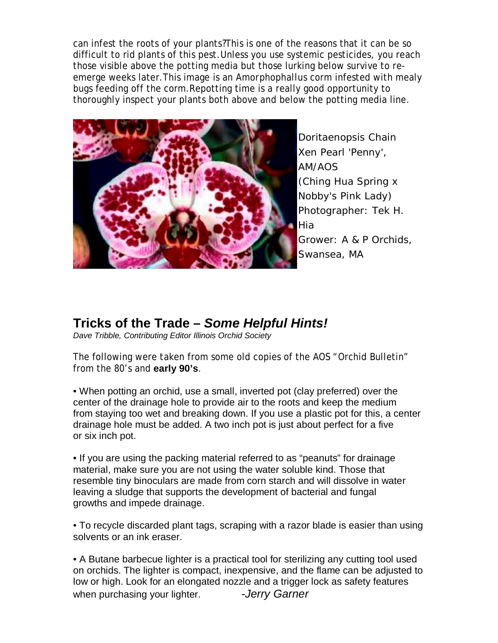can infest the roots of your plants?This is one of the reasons that it can be so difficult to rid plants of this pest.Unless you use systemic pesticides, you reach those visible above the potting media but those lurking below survive to reemerge weeks later.This image is an *Amorphophallus* corm infested with mealy bugs feeding off the corm.Repotting time is a really good opportunity to thoroughly inspect your plants both above and below the potting media line.



*Doritaenopsis* Chain Xen Pearl 'Penny', AM/AOS (Ching Hua Spring x Nobby's Pink Lady) Photographer: Tek H. Hia Grower: A & P Orchids, Swansea, MA

## **Tricks of the Trade –** *Some Helpful Hints!*

*Dave Tribble, Contributing Editor Illinois Orchid Society*

The following were taken from some old copies of the AOS "Orchid Bulletin" from the 80's and **early 90's**.

• When potting an orchid, use a small, inverted pot (clay preferred) over the center of the drainage hole to provide air to the roots and keep the medium from staying too wet and breaking down. If you use a plastic pot for this, a center drainage hole must be added. A two inch pot is just about perfect for a five or six inch pot.

• If you are using the packing material referred to as "peanuts" for drainage material, make sure you are not using the water soluble kind. Those that resemble tiny binoculars are made from corn starch and will dissolve in water leaving a sludge that supports the development of bacterial and fungal growths and impede drainage.

• To recycle discarded plant tags, scraping with a razor blade is easier than using solvents or an ink eraser.

• A Butane barbecue lighter is a practical tool for sterilizing any cutting tool used on orchids. The lighter is compact, inexpensive, and the flame can be adjusted to low or high. Look for an elongated nozzle and a trigger lock as safety features when purchasing your lighter. **-***Jerry Garner*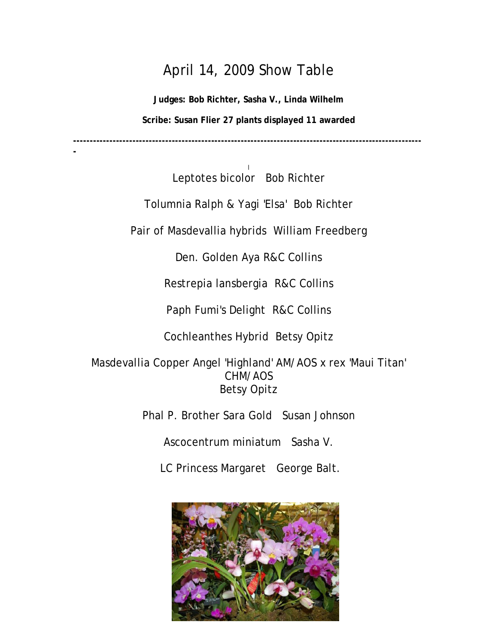# April 14, 2009 Show Table

**Judges: Bob Richter, Sasha V., Linda Wilhelm Scribe: Susan Flier 27 plants displayed 11 awarded**

**----------------------------------------------------------------------------------------------------------**

**-**

l Leptotes bicolor Bob Richter

Tolumnia Ralph & Yagi 'Elsa' Bob Richter

Pair of Masdevallia hybrids William Freedberg

Den. Golden Aya R&C Collins

Restrepia lansbergia R&C Collins

Paph Fumi's Delight R&C Collins

Cochleanthes Hybrid Betsy Opitz

Masdevallia Copper Angel 'Highland' AM/AOS x rex 'Maui Titan' CHM/AOS Betsy Opitz

Phal P. Brother Sara Gold Susan Johnson

Ascocentrum miniatum Sasha V.

LC Princess Margaret George Balt.

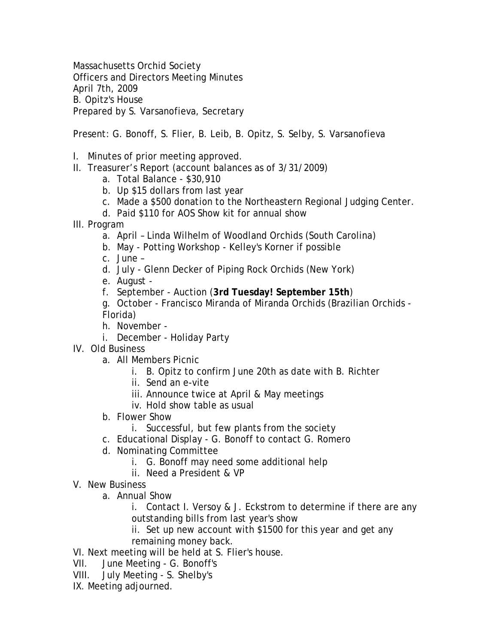Massachusetts Orchid Society Officers and Directors Meeting Minutes April 7th, 2009 B. Opitz's House Prepared by S. Varsanofieva, Secretary

Present: G. Bonoff, S. Flier, B. Leib, B. Opitz, S. Selby, S. Varsanofieva

- I. Minutes of prior meeting approved.
- II. Treasurer's Report (account balances as of 3/31/2009)
	- a. Total Balance \$30,910
	- b. Up \$15 dollars from last year
	- c. Made a \$500 donation to the Northeastern Regional Judging Center.
	- d. Paid \$110 for AOS Show kit for annual show
- III. Program
	- a. April Linda Wilhelm of Woodland Orchids (South Carolina)
	- b. May Potting Workshop Kelley's Korner if possible
	- c. June –
	- d. July Glenn Decker of Piping Rock Orchids (New York)
	- e. August -
	- f. September Auction (**3rd Tuesday! September 15th**)
	- g. October Francisco Miranda of Miranda Orchids (Brazilian Orchids Florida)
	- h. November -
	- i. December Holiday Party
- IV. Old Business
	- a. All Members Picnic
		- i. B. Opitz to confirm June 20th as date with B. Richter
		- ii. Send an e-vite
		- iii. Announce twice at April & May meetings
		- iv. Hold show table as usual
	- b. Flower Show
		- i. Successful, but few plants from the society
	- c. Educational Display G. Bonoff to contact G. Romero
	- d. Nominating Committee
		- i. G. Bonoff may need some additional help
		- ii. Need a President & VP
- V. New Business
	- a. Annual Show
		- i. Contact I. Versoy & J. Eckstrom to determine if there are any outstanding bills from last year's show
		- ii. Set up new account with \$1500 for this year and get any remaining money back.
- VI. Next meeting will be held at S. Flier's house.
- VII. June Meeting G. Bonoff's
- VIII. July Meeting S. Shelby's
- IX. Meeting adjourned.